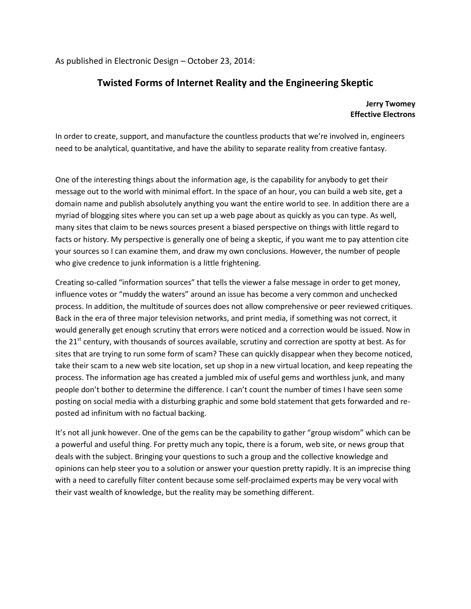As published in Electronic Design – October 23, 2014:

# **Twisted Forms of Internet Reality and the Engineering Skeptic**

#### **Jerry Twomey Effective Electrons**

In order to create, support, and manufacture the countless products that we're involved in, engineers need to be analytical, quantitative, and have the ability to separate reality from creative fantasy.

One of the interesting things about the information age, is the capability for anybody to get their message out to the world with minimal effort. In the space of an hour, you can build a web site, get a domain name and publish absolutely anything you want the entire world to see. In addition there are a myriad of blogging sites where you can set up a web page about as quickly as you can type. As well, many sites that claim to be news sources present a biased perspective on things with little regard to facts or history. My perspective is generally one of being a skeptic, if you want me to pay attention cite your sources so I can examine them, and draw my own conclusions. However, the number of people who give credence to junk information is a little frightening.

Creating so-called "information sources" that tells the viewer a false message in order to get money, influence votes or "muddy the waters" around an issue has become a very common and unchecked process. In addition, the multitude of sources does not allow comprehensive or peer reviewed critiques. Back in the era of three major television networks, and print media, if something was not correct, it would generally get enough scrutiny that errors were noticed and a correction would be issued. Now in the 21<sup>st</sup> century, with thousands of sources available, scrutiny and correction are spotty at best. As for sites that are trying to run some form of scam? These can quickly disappear when they become noticed, take their scam to a new web site location, set up shop in a new virtual location, and keep repeating the process. The information age has created a jumbled mix of useful gems and worthless junk, and many people don't bother to determine the difference. I can't count the number of times I have seen some posting on social media with a disturbing graphic and some bold statement that gets forwarded and reposted ad infinitum with no factual backing.

It's not all junk however. One of the gems can be the capability to gather "group wisdom" which can be a powerful and useful thing. For pretty much any topic, there is a forum, web site, or news group that deals with the subject. Bringing your questions to such a group and the collective knowledge and opinions can help steer you to a solution or answer your question pretty rapidly. It is an imprecise thing with a need to carefully filter content because some self-proclaimed experts may be very vocal with their vast wealth of knowledge, but the reality may be something different.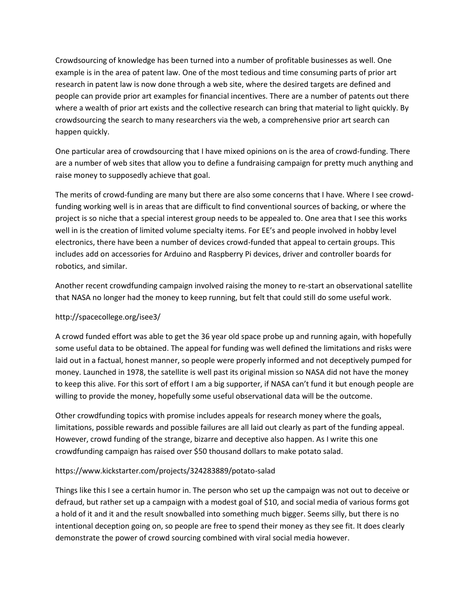Crowdsourcing of knowledge has been turned into a number of profitable businesses as well. One example is in the area of patent law. One of the most tedious and time consuming parts of prior art research in patent law is now done through a web site, where the desired targets are defined and people can provide prior art examples for financial incentives. There are a number of patents out there where a wealth of prior art exists and the collective research can bring that material to light quickly. By crowdsourcing the search to many researchers via the web, a comprehensive prior art search can happen quickly.

One particular area of crowdsourcing that I have mixed opinions on is the area of crowd-funding. There are a number of web sites that allow you to define a fundraising campaign for pretty much anything and raise money to supposedly achieve that goal.

The merits of crowd-funding are many but there are also some concerns that I have. Where I see crowdfunding working well is in areas that are difficult to find conventional sources of backing, or where the project is so niche that a special interest group needs to be appealed to. One area that I see this works well in is the creation of limited volume specialty items. For EE's and people involved in hobby level electronics, there have been a number of devices crowd-funded that appeal to certain groups. This includes add on accessories for Arduino and Raspberry Pi devices, driver and controller boards for robotics, and similar.

Another recent crowdfunding campaign involved raising the money to re-start an observational satellite that NASA no longer had the money to keep running, but felt that could still do some useful work.

# http://spacecollege.org/isee3/

A crowd funded effort was able to get the 36 year old space probe up and running again, with hopefully some useful data to be obtained. The appeal for funding was well defined the limitations and risks were laid out in a factual, honest manner, so people were properly informed and not deceptively pumped for money. Launched in 1978, the satellite is well past its original mission so NASA did not have the money to keep this alive. For this sort of effort I am a big supporter, if NASA can't fund it but enough people are willing to provide the money, hopefully some useful observational data will be the outcome.

Other crowdfunding topics with promise includes appeals for research money where the goals, limitations, possible rewards and possible failures are all laid out clearly as part of the funding appeal. However, crowd funding of the strange, bizarre and deceptive also happen. As I write this one crowdfunding campaign has raised over \$50 thousand dollars to make potato salad.

#### https://www.kickstarter.com/projects/324283889/potato-salad

Things like this I see a certain humor in. The person who set up the campaign was not out to deceive or defraud, but rather set up a campaign with a modest goal of \$10, and social media of various forms got a hold of it and it and the result snowballed into something much bigger. Seems silly, but there is no intentional deception going on, so people are free to spend their money as they see fit. It does clearly demonstrate the power of crowd sourcing combined with viral social media however.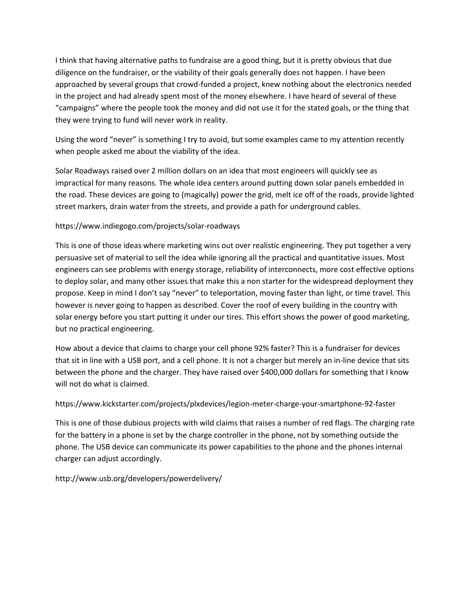I think that having alternative paths to fundraise are a good thing, but it is pretty obvious that due diligence on the fundraiser, or the viability of their goals generally does not happen. I have been approached by several groups that crowd-funded a project, knew nothing about the electronics needed in the project and had already spent most of the money elsewhere. I have heard of several of these "campaigns" where the people took the money and did not use it for the stated goals, or the thing that they were trying to fund will never work in reality.

Using the word "never" is something I try to avoid, but some examples came to my attention recently when people asked me about the viability of the idea.

Solar Roadways raised over 2 million dollars on an idea that most engineers will quickly see as impractical for many reasons. The whole idea centers around putting down solar panels embedded in the road. These devices are going to (magically) power the grid, melt ice off of the roads, provide lighted street markers, drain water from the streets, and provide a path for underground cables.

# https://www.indiegogo.com/projects/solar-roadways

This is one of those ideas where marketing wins out over realistic engineering. They put together a very persuasive set of material to sell the idea while ignoring all the practical and quantitative issues. Most engineers can see problems with energy storage, reliability of interconnects, more cost effective options to deploy solar, and many other issues that make this a non starter for the widespread deployment they propose. Keep in mind I don't say "never" to teleportation, moving faster than light, or time travel. This however is never going to happen as described. Cover the roof of every building in the country with solar energy before you start putting it under our tires. This effort shows the power of good marketing, but no practical engineering.

How about a device that claims to charge your cell phone 92% faster? This is a fundraiser for devices that sit in line with a USB port, and a cell phone. It is not a charger but merely an in-line device that sits between the phone and the charger. They have raised over \$400,000 dollars for something that I know will not do what is claimed.

# https://www.kickstarter.com/projects/plxdevices/legion-meter-charge-your-smartphone-92-faster

This is one of those dubious projects with wild claims that raises a number of red flags. The charging rate for the battery in a phone is set by the charge controller in the phone, not by something outside the phone. The USB device can communicate its power capabilities to the phone and the phones internal charger can adjust accordingly.

# http://www.usb.org/developers/powerdelivery/